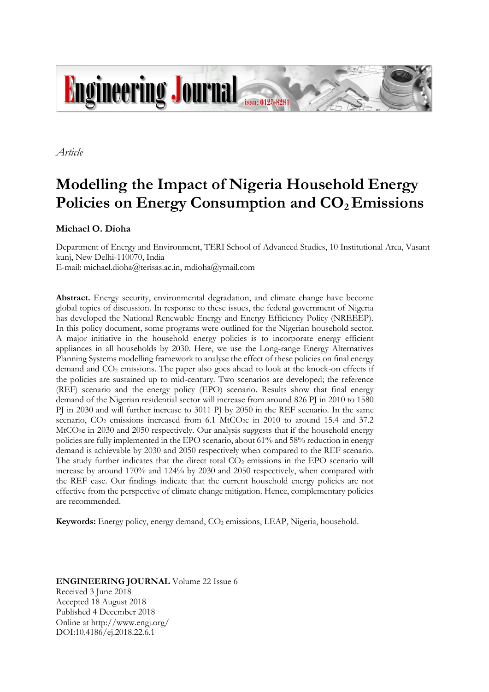

*Article*

# **Modelling the Impact of Nigeria Household Energy Policies on Energy Consumption and CO2 Emissions**

## **Michael O. Dioha**

Department of Energy and Environment, TERI School of Advanced Studies, 10 Institutional Area, Vasant kunj, New Delhi-110070, India

E-mail: michael.dioha@terisas.ac.in, mdioha@ymail.com

**Abstract.** Energy security, environmental degradation, and climate change have become global topics of discussion. In response to these issues, the federal government of Nigeria has developed the National Renewable Energy and Energy Efficiency Policy (NREEEP). In this policy document, some programs were outlined for the Nigerian household sector. A major initiative in the household energy policies is to incorporate energy efficient appliances in all households by 2030. Here, we use the Long-range Energy Alternatives Planning Systems modelling framework to analyse the effect of these policies on final energy demand and  $CO<sub>2</sub>$  emissions. The paper also goes ahead to look at the knock-on effects if the policies are sustained up to mid-century. Two scenarios are developed; the reference (REF) scenario and the energy policy (EPO) scenario. Results show that final energy demand of the Nigerian residential sector will increase from around 826 PJ in 2010 to 1580 PJ in 2030 and will further increase to 3011 PJ by 2050 in the REF scenario. In the same scenario,  $CO<sub>2</sub>$  emissions increased from 6.1 MtCO<sub>2</sub>e in 2010 to around 15.4 and 37.2 MtCO2e in 2030 and 2050 respectively. Our analysis suggests that if the household energy policies are fully implemented in the EPO scenario, about 61% and 58% reduction in energy demand is achievable by 2030 and 2050 respectively when compared to the REF scenario. The study further indicates that the direct total  $CO<sub>2</sub>$  emissions in the EPO scenario will increase by around 170% and 124% by 2030 and 2050 respectively, when compared with the REF case. Our findings indicate that the current household energy policies are not effective from the perspective of climate change mitigation. Hence, complementary policies are recommended.

**Keywords:** Energy policy, energy demand, CO<sub>2</sub> emissions, LEAP, Nigeria, household.

**ENGINEERING JOURNAL** Volume 22 Issue 6 Received 3 June 2018 Accepted 18 August 2018 Published 4 December 2018 Online at http://www.engj.org/ DOI:10.4186/ej.2018.22.6.1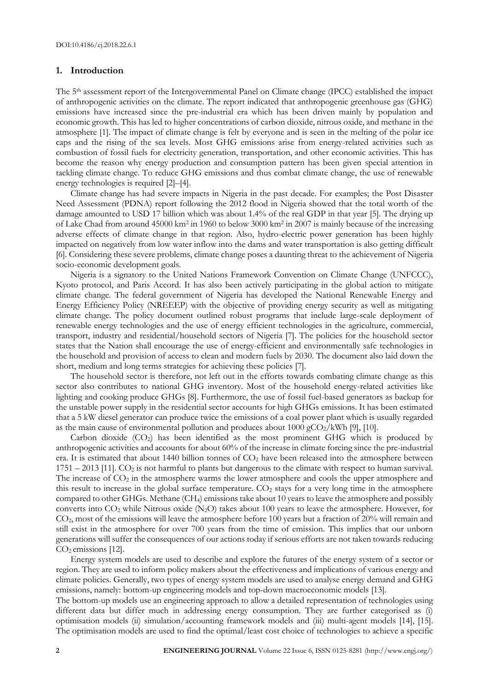#### **1. Introduction**

The 5<sup>th</sup> assessment report of the Intergovernmental Panel on Climate change (IPCC) established the impact of anthropogenic activities on the climate. The report indicated that anthropogenic greenhouse gas (GHG) emissions have increased since the pre-industrial era which has been driven mainly by population and economic growth. This has led to higher concentrations of carbon dioxide, nitrous oxide, and methane in the atmosphere [1]. The impact of climate change is felt by everyone and is seen in the melting of the polar ice caps and the rising of the sea levels. Most GHG emissions arise from energy-related activities such as combustion of fossil fuels for electricity generation, transportation, and other economic activities. This has become the reason why energy production and consumption pattern has been given special attention in tackling climate change. To reduce GHG emissions and thus combat climate change, the use of renewable energy technologies is required [2]–[4].

Climate change has had severe impacts in Nigeria in the past decade. For examples; the Post Disaster Need Assessment (PDNA) report following the 2012 flood in Nigeria showed that the total worth of the damage amounted to USD 17 billion which was about 1.4% of the real GDP in that year [5]. The drying up of Lake Chad from around 45000 km<sup>2</sup> in 1960 to below 3000 km<sup>2</sup> in 2007 is mainly because of the increasing adverse effects of climate change in that region. Also, hydro-electric power generation has been highly impacted on negatively from low water inflow into the dams and water transportation is also getting difficult [6]. Considering these severe problems, climate change poses a daunting threat to the achievement of Nigeria socio-economic development goals.

Nigeria is a signatory to the United Nations Framework Convention on Climate Change (UNFCCC), Kyoto protocol, and Paris Accord. It has also been actively participating in the global action to mitigate climate change. The federal government of Nigeria has developed the National Renewable Energy and Energy Efficiency Policy (NREEEP) with the objective of providing energy security as well as mitigating climate change. The policy document outlined robust programs that include large-scale deployment of renewable energy technologies and the use of energy efficient technologies in the agriculture, commercial, transport, industry and residential/household sectors of Nigeria [7]. The policies for the household sector states that the Nation shall encourage the use of energy-efficient and environmentally safe technologies in the household and provision of access to clean and modern fuels by 2030. The document also laid down the short, medium and long terms strategies for achieving these policies [7].

The household sector is therefore, not left out in the efforts towards combating climate change as this sector also contributes to national GHG inventory. Most of the household energy-related activities like lighting and cooking produce GHGs [8]. Furthermore, the use of fossil fuel-based generators as backup for the unstable power supply in the residential sector accounts for high GHGs emissions. It has been estimated that a 5 kW diesel generator can produce twice the emissions of a coal power plant which is usually regarded as the main cause of environmental pollution and produces about  $1000 \text{ gCO}_2/\text{kWh}$  [9], [10].

Carbon dioxide  $(CO_2)$  has been identified as the most prominent GHG which is produced by anthropogenic activities and accounts for about 60% of the increase in climate forcing since the pre-industrial era. It is estimated that about 1440 billion tonnes of CO<sub>2</sub> have been released into the atmosphere between 1751 – 2013 [11]. CO<sup>2</sup> is not harmful to plants but dangerous to the climate with respect to human survival. The increase of  $CO<sub>2</sub>$  in the atmosphere warms the lower atmosphere and cools the upper atmosphere and this result to increase in the global surface temperature.  $CO<sub>2</sub>$  stays for a very long time in the atmosphere compared to other GHGs. Methane (CH4) emissions take about 10 years to leave the atmosphere and possibly converts into CO<sup>2</sup> while Nitrous oxide (N2O) takes about 100 years to leave the atmosphere. However, for CO2, most of the emissions will leave the atmosphere before 100 years but a fraction of 20% will remain and still exist in the atmosphere for over 700 years from the time of emission. This implies that our unborn generations will suffer the consequences of our actions today if serious efforts are not taken towards reducing  $CO<sub>2</sub>$  emissions [12].

Energy system models are used to describe and explore the futures of the energy system of a sector or region. They are used to inform policy makers about the effectiveness and implications of various energy and climate policies. Generally, two types of energy system models are used to analyse energy demand and GHG emissions, namely: bottom-up engineering models and top-down macroeconomic models [13].

The bottom-up models use an engineering approach to allow a detailed representation of technologies using different data but differ much in addressing energy consumption. They are further categorised as (i) optimisation models (ii) simulation/accounting framework models and (iii) multi-agent models [14], [15]. The optimisation models are used to find the optimal/least cost choice of technologies to achieve a specific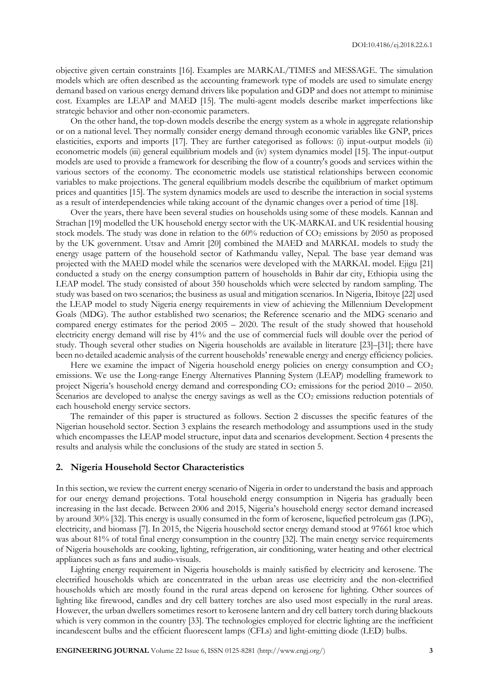objective given certain constraints [16]. Examples are MARKAL/TIMES and MESSAGE. The simulation models which are often described as the accounting framework type of models are used to simulate energy demand based on various energy demand drivers like population and GDP and does not attempt to minimise cost. Examples are LEAP and MAED [15]. The multi-agent models describe market imperfections like strategic behavior and other non-economic parameters.

On the other hand, the top-down models describe the energy system as a whole in aggregate relationship or on a national level. They normally consider energy demand through economic variables like GNP, prices elasticities, exports and imports [17]. They are further categorised as follows: (i) input-output models (ii) econometric models (iii) general equilibrium models and (iv) system dynamics model [15]. The input-output models are used to provide a framework for describing the flow of a country's goods and services within the various sectors of the economy. The econometric models use statistical relationships between economic variables to make projections. The general equilibrium models describe the equilibrium of market optimum prices and quantities [15]. The system dynamics models are used to describe the interaction in social systems as a result of interdependencies while taking account of the dynamic changes over a period of time [18].

Over the years, there have been several studies on households using some of these models. Kannan and Strachan [19] modelled the UK household energy sector with the UK-MARKAL and UK residential housing stock models. The study was done in relation to the  $60\%$  reduction of  $CO<sub>2</sub>$  emissions by 2050 as proposed by the UK government. Utsav and Amrit [20] combined the MAED and MARKAL models to study the energy usage pattern of the household sector of Kathmandu valley, Nepal. The base year demand was projected with the MAED model while the scenarios were developed with the MARKAL model. Ejigu [21] conducted a study on the energy consumption pattern of households in Bahir dar city, Ethiopia using the LEAP model. The study consisted of about 350 households which were selected by random sampling. The study was based on two scenarios; the business as usual and mitigation scenarios. In Nigeria, Ibitoye [22] used the LEAP model to study Nigeria energy requirements in view of achieving the Millennium Development Goals (MDG). The author established two scenarios; the Reference scenario and the MDG scenario and compared energy estimates for the period 2005 – 2020. The result of the study showed that household electricity energy demand will rise by 41% and the use of commercial fuels will double over the period of study. Though several other studies on Nigeria households are available in literature [23]–[31]; there have been no detailed academic analysis of the current households' renewable energy and energy efficiency policies.

Here we examine the impact of Nigeria household energy policies on energy consumption and  $CO<sub>2</sub>$ emissions. We use the Long-range Energy Alternatives Planning System (LEAP) modelling framework to project Nigeria's household energy demand and corresponding CO<sub>2</sub> emissions for the period 2010 – 2050. Scenarios are developed to analyse the energy savings as well as the CO<sub>2</sub> emissions reduction potentials of each household energy service sectors.

The remainder of this paper is structured as follows. Section 2 discusses the specific features of the Nigerian household sector. Section 3 explains the research methodology and assumptions used in the study which encompasses the LEAP model structure, input data and scenarios development. Section 4 presents the results and analysis while the conclusions of the study are stated in section 5.

#### **2. Nigeria Household Sector Characteristics**

In this section, we review the current energy scenario of Nigeria in order to understand the basis and approach for our energy demand projections. Total household energy consumption in Nigeria has gradually been increasing in the last decade. Between 2006 and 2015, Nigeria's household energy sector demand increased by around 30% [32]. This energy is usually consumed in the form of kerosene, liquefied petroleum gas (LPG), electricity, and biomass [7]. In 2015, the Nigeria household sector energy demand stood at 97661 ktoe which was about 81% of total final energy consumption in the country [32]. The main energy service requirements of Nigeria households are cooking, lighting, refrigeration, air conditioning, water heating and other electrical appliances such as fans and audio-visuals.

Lighting energy requirement in Nigeria households is mainly satisfied by electricity and kerosene. The electrified households which are concentrated in the urban areas use electricity and the non-electrified households which are mostly found in the rural areas depend on kerosene for lighting. Other sources of lighting like firewood, candles and dry cell battery torches are also used most especially in the rural areas. However, the urban dwellers sometimes resort to kerosene lantern and dry cell battery torch during blackouts which is very common in the country [33]. The technologies employed for electric lighting are the inefficient incandescent bulbs and the efficient fluorescent lamps (CFLs) and light-emitting diode (LED) bulbs.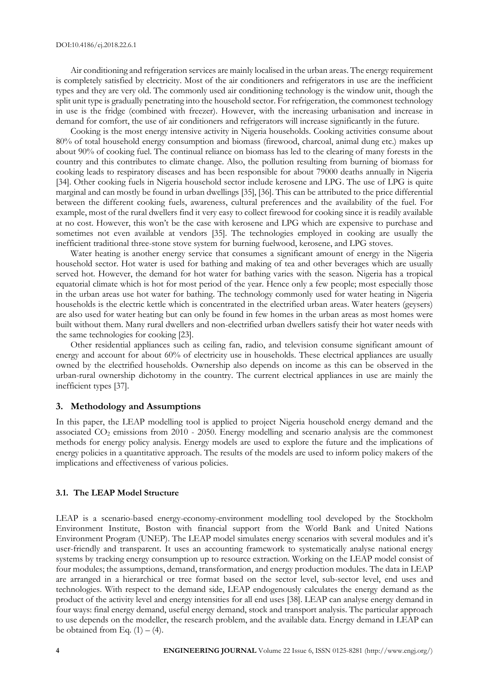Air conditioning and refrigeration services are mainly localised in the urban areas. The energy requirement is completely satisfied by electricity. Most of the air conditioners and refrigerators in use are the inefficient types and they are very old. The commonly used air conditioning technology is the window unit, though the split unit type is gradually penetrating into the household sector. For refrigeration, the commonest technology in use is the fridge (combined with freezer). However, with the increasing urbanisation and increase in demand for comfort, the use of air conditioners and refrigerators will increase significantly in the future.

Cooking is the most energy intensive activity in Nigeria households. Cooking activities consume about 80% of total household energy consumption and biomass (firewood, charcoal, animal dung etc.) makes up about 90% of cooking fuel. The continual reliance on biomass has led to the clearing of many forests in the country and this contributes to climate change. Also, the pollution resulting from burning of biomass for cooking leads to respiratory diseases and has been responsible for about 79000 deaths annually in Nigeria [34]. Other cooking fuels in Nigeria household sector include kerosene and LPG. The use of LPG is quite marginal and can mostly be found in urban dwellings [35], [36]. This can be attributed to the price differential between the different cooking fuels, awareness, cultural preferences and the availability of the fuel. For example, most of the rural dwellers find it very easy to collect firewood for cooking since it is readily available at no cost. However, this won't be the case with kerosene and LPG which are expensive to purchase and sometimes not even available at vendors [35]. The technologies employed in cooking are usually the inefficient traditional three-stone stove system for burning fuelwood, kerosene, and LPG stoves.

Water heating is another energy service that consumes a significant amount of energy in the Nigeria household sector. Hot water is used for bathing and making of tea and other beverages which are usually served hot. However, the demand for hot water for bathing varies with the season. Nigeria has a tropical equatorial climate which is hot for most period of the year. Hence only a few people; most especially those in the urban areas use hot water for bathing. The technology commonly used for water heating in Nigeria households is the electric kettle which is concentrated in the electrified urban areas. Water heaters (geysers) are also used for water heating but can only be found in few homes in the urban areas as most homes were built without them. Many rural dwellers and non-electrified urban dwellers satisfy their hot water needs with the same technologies for cooking [23].

Other residential appliances such as ceiling fan, radio, and television consume significant amount of energy and account for about 60% of electricity use in households. These electrical appliances are usually owned by the electrified households. Ownership also depends on income as this can be observed in the urban-rural ownership dichotomy in the country. The current electrical appliances in use are mainly the inefficient types [37].

#### **3. Methodology and Assumptions**

In this paper, the LEAP modelling tool is applied to project Nigeria household energy demand and the associated CO<sub>2</sub> emissions from 2010 - 2050. Energy modelling and scenario analysis are the commonest methods for energy policy analysis. Energy models are used to explore the future and the implications of energy policies in a quantitative approach. The results of the models are used to inform policy makers of the implications and effectiveness of various policies.

### **3.1. The LEAP Model Structure**

LEAP is a scenario-based energy-economy-environment modelling tool developed by the Stockholm Environment Institute, Boston with financial support from the World Bank and United Nations Environment Program (UNEP). The LEAP model simulates energy scenarios with several modules and it's user-friendly and transparent. It uses an accounting framework to systematically analyse national energy systems by tracking energy consumption up to resource extraction. Working on the LEAP model consist of four modules; the assumptions, demand, transformation, and energy production modules. The data in LEAP are arranged in a hierarchical or tree format based on the sector level, sub-sector level, end uses and technologies. With respect to the demand side, LEAP endogenously calculates the energy demand as the product of the activity level and energy intensities for all end uses [38]. LEAP can analyse energy demand in four ways: final energy demand, useful energy demand, stock and transport analysis. The particular approach to use depends on the modeller, the research problem, and the available data. Energy demand in LEAP can be obtained from Eq.  $(1) - (4)$ .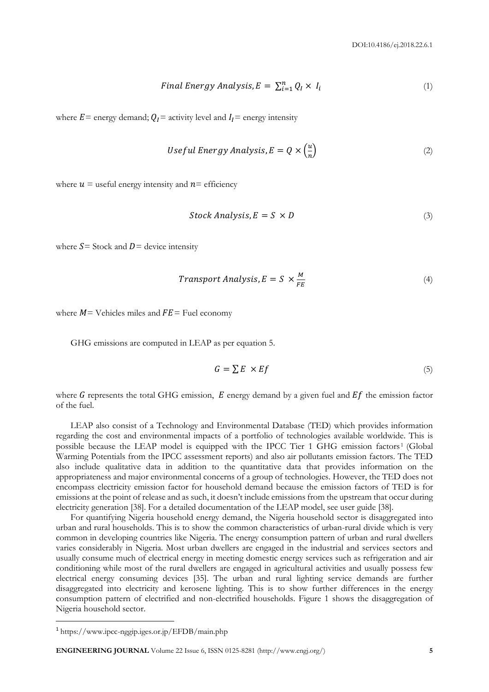$$
Final Energy Analysis, E = \sum_{i=1}^{n} Q_i \times I_i \tag{1}
$$

where  $E$  = energy demand;  $Q_I$  = activity level and  $I_I$  = energy intensity

*Useful Energy Analysis, E* = 
$$
Q \times \left(\frac{u}{n}\right)
$$
 (2)

where  $u =$  useful energy intensity and  $n =$  efficiency

$$
Stock Analysis, E = S \times D \tag{3}
$$

where  $S =$  Stock and  $D =$  device intensity

$$
Transport Analysis, E = S \times \frac{M}{FE}
$$
\n<sup>(4)</sup>

where  $M$  = Vehicles miles and  $FE$  = Fuel economy

GHG emissions are computed in LEAP as per equation 5.

$$
G = \sum E \times Ef \tag{5}
$$

where G represents the total GHG emission,  $E$  energy demand by a given fuel and  $Ef$  the emission factor of the fuel.

LEAP also consist of a Technology and Environmental Database (TED) which provides information regarding the cost and environmental impacts of a portfolio of technologies available worldwide. This is possible because the LEAP model is equipped with the IPCC Tier 1 GHG emission factors<sup>1</sup> (Global Warming Potentials from the IPCC assessment reports) and also air pollutants emission factors. The TED also include qualitative data in addition to the quantitative data that provides information on the appropriateness and major environmental concerns of a group of technologies. However, the TED does not encompass electricity emission factor for household demand because the emission factors of TED is for emissions at the point of release and as such, it doesn't include emissions from the upstream that occur during electricity generation [38]. For a detailed documentation of the LEAP model, see user guide [38].

For quantifying Nigeria household energy demand, the Nigeria household sector is disaggregated into urban and rural households. This is to show the common characteristics of urban-rural divide which is very common in developing countries like Nigeria. The energy consumption pattern of urban and rural dwellers varies considerably in Nigeria. Most urban dwellers are engaged in the industrial and services sectors and usually consume much of electrical energy in meeting domestic energy services such as refrigeration and air conditioning while most of the rural dwellers are engaged in agricultural activities and usually possess few electrical energy consuming devices [35]. The urban and rural lighting service demands are further disaggregated into electricity and kerosene lighting. This is to show further differences in the energy consumption pattern of electrified and non-electrified households. Figure 1 shows the disaggregation of Nigeria household sector.

 $\overline{a}$ 

**ENGINEERING JOURNAL** Volume 22 Issue 6, ISSN 0125-8281 (http://www.engj.org/) **5**

<sup>1</sup> https://www.ipcc-nggip.iges.or.jp/EFDB/main.php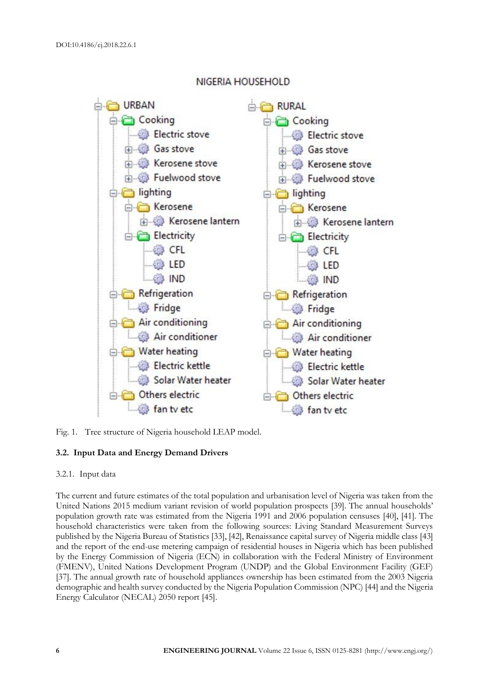

## NIGERIA HOUSEHOLD

Fig. 1. Tree structure of Nigeria household LEAP model.

## **3.2. Input Data and Energy Demand Drivers**

#### 3.2.1. Input data

The current and future estimates of the total population and urbanisation level of Nigeria was taken from the United Nations 2015 medium variant revision of world population prospects [39]. The annual households' population growth rate was estimated from the Nigeria 1991 and 2006 population censuses [40], [41]. The household characteristics were taken from the following sources: Living Standard Measurement Surveys published by the Nigeria Bureau of Statistics [33], [42], Renaissance capital survey of Nigeria middle class [43] and the report of the end-use metering campaign of residential houses in Nigeria which has been published by the Energy Commission of Nigeria (ECN) in collaboration with the Federal Ministry of Environment (FMENV), United Nations Development Program (UNDP) and the Global Environment Facility (GEF) [37]. The annual growth rate of household appliances ownership has been estimated from the 2003 Nigeria demographic and health survey conducted by the Nigeria Population Commission (NPC) [44] and the Nigeria Energy Calculator (NECAL) 2050 report [45].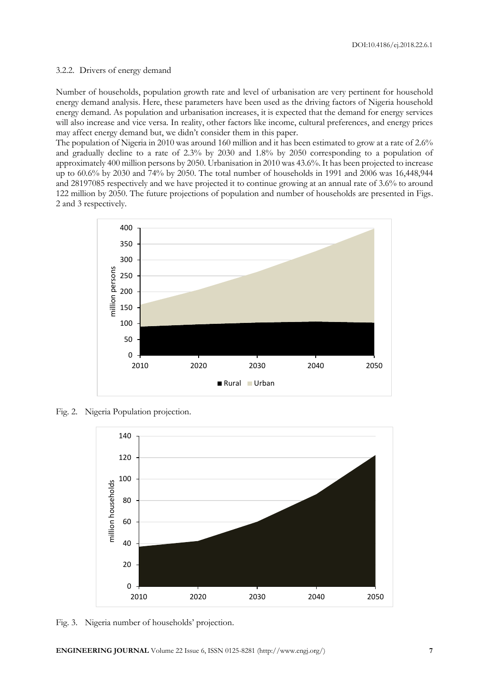#### 3.2.2. Drivers of energy demand

Number of households, population growth rate and level of urbanisation are very pertinent for household energy demand analysis. Here, these parameters have been used as the driving factors of Nigeria household energy demand. As population and urbanisation increases, it is expected that the demand for energy services will also increase and vice versa. In reality, other factors like income, cultural preferences, and energy prices may affect energy demand but, we didn't consider them in this paper.

The population of Nigeria in 2010 was around 160 million and it has been estimated to grow at a rate of 2.6% and gradually decline to a rate of 2.3% by 2030 and 1.8% by 2050 corresponding to a population of approximately 400 million persons by 2050. Urbanisation in 2010 was 43.6%. It has been projected to increase up to 60.6% by 2030 and 74% by 2050. The total number of households in 1991 and 2006 was 16,448,944 and 28197085 respectively and we have projected it to continue growing at an annual rate of 3.6% to around 122 million by 2050. The future projections of population and number of households are presented in Figs. 2 and 3 respectively.



Fig. 2. Nigeria Population projection.



Fig. 3. Nigeria number of households' projection.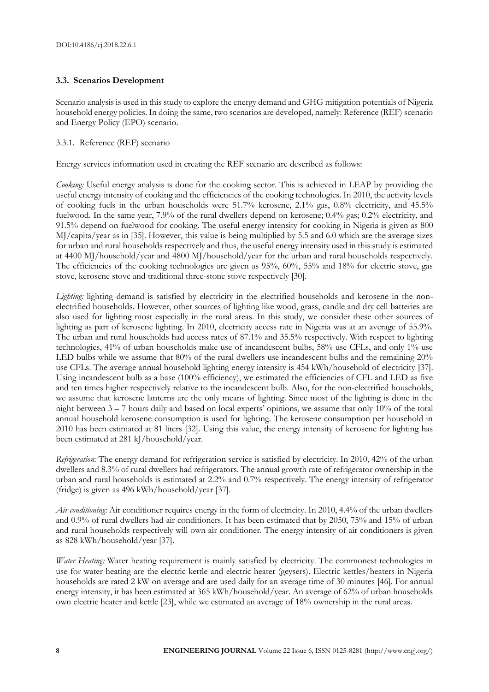## **3.3. Scenarios Development**

Scenario analysis is used in this study to explore the energy demand and GHG mitigation potentials of Nigeria household energy policies. In doing the same, two scenarios are developed, namely: Reference (REF) scenario and Energy Policy (EPO) scenario.

## 3.3.1. Reference (REF) scenario

Energy services information used in creating the REF scenario are described as follows:

*Cooking:* Useful energy analysis is done for the cooking sector. This is achieved in LEAP by providing the useful energy intensity of cooking and the efficiencies of the cooking technologies. In 2010, the activity levels of cooking fuels in the urban households were 51.7% kerosene, 2.1% gas, 0.8% electricity, and 45.5% fuelwood. In the same year, 7.9% of the rural dwellers depend on kerosene; 0.4% gas; 0.2% electricity, and 91.5% depend on fuelwood for cooking. The useful energy intensity for cooking in Nigeria is given as 800 MJ/capita/year as in [35]. However, this value is being multiplied by 5.5 and 6.0 which are the average sizes for urban and rural households respectively and thus, the useful energy intensity used in this study is estimated at 4400 MJ/household/year and 4800 MJ/household/year for the urban and rural households respectively. The efficiencies of the cooking technologies are given as 95%, 60%, 55% and 18% for electric stove, gas stove, kerosene stove and traditional three-stone stove respectively [30].

*Lighting*: lighting demand is satisfied by electricity in the electrified households and kerosene in the nonelectrified households. However, other sources of lighting like wood, grass, candle and dry cell batteries are also used for lighting most especially in the rural areas. In this study, we consider these other sources of lighting as part of kerosene lighting. In 2010, electricity access rate in Nigeria was at an average of 55.9%. The urban and rural households had access rates of 87.1% and 35.5% respectively. With respect to lighting technologies, 41% of urban households make use of incandescent bulbs, 58% use CFLs, and only 1% use LED bulbs while we assume that 80% of the rural dwellers use incandescent bulbs and the remaining 20% use CFLs. The average annual household lighting energy intensity is 454 kWh/household of electricity [37]. Using incandescent bulb as a base (100% efficiency), we estimated the efficiencies of CFL and LED as five and ten times higher respectively relative to the incandescent bulb. Also, for the non-electrified households, we assume that kerosene lanterns are the only means of lighting. Since most of the lighting is done in the night between 3 – 7 hours daily and based on local experts' opinions, we assume that only 10% of the total annual household kerosene consumption is used for lighting. The kerosene consumption per household in 2010 has been estimated at 81 liters [32]. Using this value, the energy intensity of kerosene for lighting has been estimated at 281 kJ/household/year.

*Refrigeration:* The energy demand for refrigeration service is satisfied by electricity. In 2010, 42% of the urban dwellers and 8.3% of rural dwellers had refrigerators. The annual growth rate of refrigerator ownership in the urban and rural households is estimated at 2.2% and 0.7% respectively. The energy intensity of refrigerator (fridge) is given as 496 kWh/household/year [37].

*Air conditioning*: Air conditioner requires energy in the form of electricity. In 2010, 4.4% of the urban dwellers and 0.9% of rural dwellers had air conditioners. It has been estimated that by 2050, 75% and 15% of urban and rural households respectively will own air conditioner. The energy intensity of air conditioners is given as 828 kWh/household/year [37].

*Water Heating:* Water heating requirement is mainly satisfied by electricity. The commonest technologies in use for water heating are the electric kettle and electric heater (geysers). Electric kettles/heaters in Nigeria households are rated 2 kW on average and are used daily for an average time of 30 minutes [46]. For annual energy intensity, it has been estimated at 365 kWh/household/year. An average of 62% of urban households own electric heater and kettle [23], while we estimated an average of 18% ownership in the rural areas.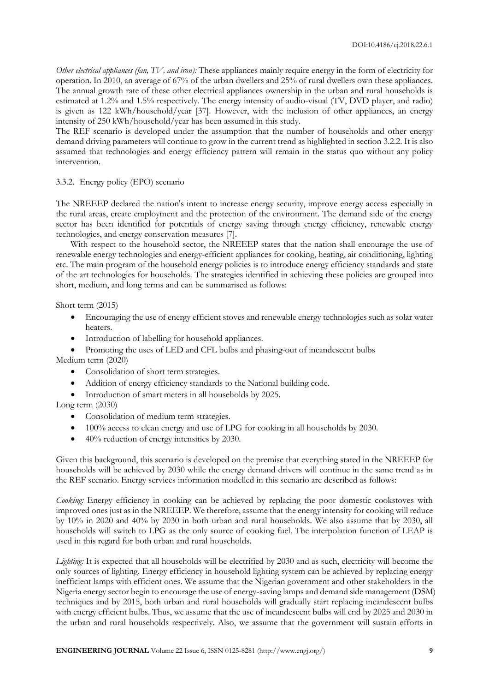*Other electrical appliances (fan, TV, and iron):* These appliances mainly require energy in the form of electricity for operation. In 2010, an average of 67% of the urban dwellers and 25% of rural dwellers own these appliances. The annual growth rate of these other electrical appliances ownership in the urban and rural households is estimated at 1.2% and 1.5% respectively. The energy intensity of audio-visual (TV, DVD player, and radio) is given as 122 kWh/household/year [37]. However, with the inclusion of other appliances, an energy intensity of 250 kWh/household/year has been assumed in this study.

The REF scenario is developed under the assumption that the number of households and other energy demand driving parameters will continue to grow in the current trend as highlighted in section 3.2.2. It is also assumed that technologies and energy efficiency pattern will remain in the status quo without any policy intervention.

#### 3.3.2. Energy policy (EPO) scenario

The NREEEP declared the nation's intent to increase energy security, improve energy access especially in the rural areas, create employment and the protection of the environment. The demand side of the energy sector has been identified for potentials of energy saving through energy efficiency, renewable energy technologies, and energy conservation measures [7].

With respect to the household sector, the NREEEP states that the nation shall encourage the use of renewable energy technologies and energy-efficient appliances for cooking, heating, air conditioning, lighting etc. The main program of the household energy policies is to introduce energy efficiency standards and state of the art technologies for households. The strategies identified in achieving these policies are grouped into short, medium, and long terms and can be summarised as follows:

Short term (2015)

- Encouraging the use of energy efficient stoves and renewable energy technologies such as solar water heaters.
- Introduction of labelling for household appliances.
- Promoting the uses of LED and CFL bulbs and phasing-out of incandescent bulbs

Medium term (2020)

- Consolidation of short term strategies.
- Addition of energy efficiency standards to the National building code.
- Introduction of smart meters in all households by 2025.

## Long term (2030)

- Consolidation of medium term strategies.
- 100% access to clean energy and use of LPG for cooking in all households by 2030.
- 40% reduction of energy intensities by 2030.

Given this background, this scenario is developed on the premise that everything stated in the NREEEP for households will be achieved by 2030 while the energy demand drivers will continue in the same trend as in the REF scenario. Energy services information modelled in this scenario are described as follows:

*Cooking:* Energy efficiency in cooking can be achieved by replacing the poor domestic cookstoves with improved ones just as in the NREEEP. We therefore, assume that the energy intensity for cooking will reduce by 10% in 2020 and 40% by 2030 in both urban and rural households. We also assume that by 2030, all households will switch to LPG as the only source of cooking fuel. The interpolation function of LEAP is used in this regard for both urban and rural households.

*Lighting:* It is expected that all households will be electrified by 2030 and as such, electricity will become the only sources of lighting. Energy efficiency in household lighting system can be achieved by replacing energy inefficient lamps with efficient ones. We assume that the Nigerian government and other stakeholders in the Nigeria energy sector begin to encourage the use of energy-saving lamps and demand side management (DSM) techniques and by 2015, both urban and rural households will gradually start replacing incandescent bulbs with energy efficient bulbs. Thus, we assume that the use of incandescent bulbs will end by 2025 and 2030 in the urban and rural households respectively. Also, we assume that the government will sustain efforts in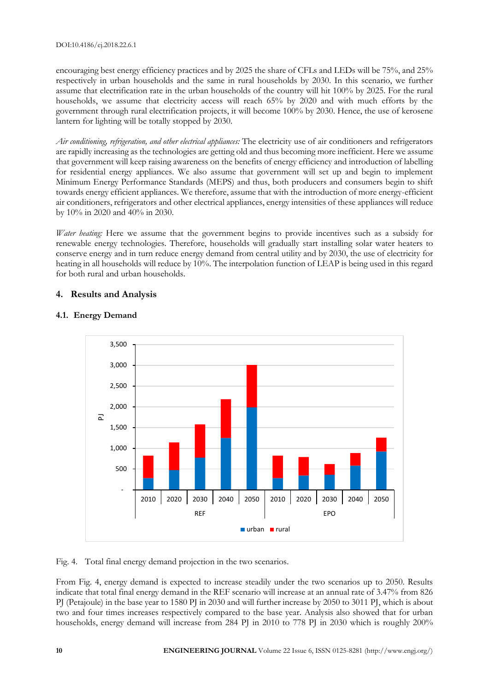#### DOI:10.4186/ej.2018.22.6.1

encouraging best energy efficiency practices and by 2025 the share of CFLs and LEDs will be 75%, and 25% respectively in urban households and the same in rural households by 2030. In this scenario, we further assume that electrification rate in the urban households of the country will hit 100% by 2025. For the rural households, we assume that electricity access will reach 65% by 2020 and with much efforts by the government through rural electrification projects, it will become 100% by 2030. Hence, the use of kerosene lantern for lighting will be totally stopped by 2030.

*Air conditioning, refrigeration, and other electrical appliances:* The electricity use of air conditioners and refrigerators are rapidly increasing as the technologies are getting old and thus becoming more inefficient. Here we assume that government will keep raising awareness on the benefits of energy efficiency and introduction of labelling for residential energy appliances. We also assume that government will set up and begin to implement Minimum Energy Performance Standards (MEPS) and thus, both producers and consumers begin to shift towards energy efficient appliances. We therefore, assume that with the introduction of more energy-efficient air conditioners, refrigerators and other electrical appliances, energy intensities of these appliances will reduce by 10% in 2020 and 40% in 2030.

*Water heating:* Here we assume that the government begins to provide incentives such as a subsidy for renewable energy technologies. Therefore, households will gradually start installing solar water heaters to conserve energy and in turn reduce energy demand from central utility and by 2030, the use of electricity for heating in all households will reduce by 10%. The interpolation function of LEAP is being used in this regard for both rural and urban households.

## **4. Results and Analysis**

## **4.1. Energy Demand**



Fig. 4. Total final energy demand projection in the two scenarios.

From Fig. 4, energy demand is expected to increase steadily under the two scenarios up to 2050. Results indicate that total final energy demand in the REF scenario will increase at an annual rate of 3.47% from 826 PJ (Petajoule) in the base year to 1580 PJ in 2030 and will further increase by 2050 to 3011 PJ, which is about two and four times increases respectively compared to the base year. Analysis also showed that for urban households, energy demand will increase from 284 PJ in 2010 to 778 PJ in 2030 which is roughly 200%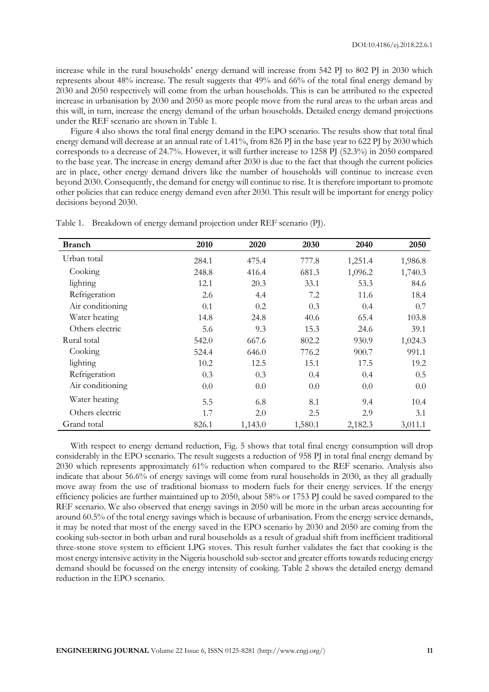increase while in the rural households' energy demand will increase from 542 PJ to 802 PJ in 2030 which represents about 48% increase. The result suggests that 49% and 66% of the total final energy demand by 2030 and 2050 respectively will come from the urban households. This is can be attributed to the expected increase in urbanisation by 2030 and 2050 as more people move from the rural areas to the urban areas and this will, in turn, increase the energy demand of the urban households. Detailed energy demand projections under the REF scenario are shown in Table 1.

Figure 4 also shows the total final energy demand in the EPO scenario. The results show that total final energy demand will decrease at an annual rate of 1.41%, from 826 PJ in the base year to 622 PJ by 2030 which corresponds to a decrease of 24.7%. However, it will further increase to 1258 PJ (52.3%) in 2050 compared to the base year. The increase in energy demand after 2030 is due to the fact that though the current policies are in place, other energy demand drivers like the number of households will continue to increase even beyond 2030. Consequently, the demand for energy will continue to rise. It is therefore important to promote other policies that can reduce energy demand even after 2030. This result will be important for energy policy decisions beyond 2030.

| <b>Branch</b>    | 2010  | 2020    | 2030    | 2040    | 2050    |
|------------------|-------|---------|---------|---------|---------|
| Urban total      | 284.1 | 475.4   | 777.8   | 1,251.4 | 1,986.8 |
| Cooking          | 248.8 | 416.4   | 681.3   | 1,096.2 | 1,740.3 |
| lighting         | 12.1  | 20.3    | 33.1    | 53.3    | 84.6    |
| Refrigeration    | 2.6   | 4.4     | 7.2     | 11.6    | 18.4    |
| Air conditioning | 0.1   | 0.2     | 0.3     | 0.4     | 0.7     |
| Water heating    | 14.8  | 24.8    | 40.6    | 65.4    | 103.8   |
| Others electric  | 5.6   | 9.3     | 15.3    | 24.6    | 39.1    |
| Rural total      | 542.0 | 667.6   | 802.2   | 930.9   | 1,024.3 |
| Cooking          | 524.4 | 646.0   | 776.2   | 900.7   | 991.1   |
| lighting         | 10.2  | 12.5    | 15.1    | 17.5    | 19.2    |
| Refrigeration    | 0.3   | 0.3     | 0.4     | 0.4     | 0.5     |
| Air conditioning | 0.0   | 0.0     | 0.0     | 0.0     | 0.0     |
| Water heating    | 5.5   | 6.8     | 8.1     | 9.4     | 10.4    |
| Others electric  | 1.7   | 2.0     | 2.5     | 2.9     | 3.1     |
| Grand total      | 826.1 | 1,143.0 | 1,580.1 | 2,182.3 | 3,011.1 |

Table 1. Breakdown of energy demand projection under REF scenario (PJ).

With respect to energy demand reduction, Fig. 5 shows that total final energy consumption will drop considerably in the EPO scenario. The result suggests a reduction of 958 PJ in total final energy demand by 2030 which represents approximately 61% reduction when compared to the REF scenario. Analysis also indicate that about 56.6% of energy savings will come from rural households in 2030, as they all gradually move away from the use of traditional biomass to modern fuels for their energy services. If the energy efficiency policies are further maintained up to 2050, about 58% or 1753 PJ could be saved compared to the REF scenario. We also observed that energy savings in 2050 will be more in the urban areas accounting for around 60.5% of the total energy savings which is because of urbanisation. From the energy service demands, it may be noted that most of the energy saved in the EPO scenario by 2030 and 2050 are coming from the cooking sub-sector in both urban and rural households as a result of gradual shift from inefficient traditional three-stone stove system to efficient LPG stoves. This result further validates the fact that cooking is the most energy intensive activity in the Nigeria household sub-sector and greater efforts towards reducing energy demand should be focussed on the energy intensity of cooking. Table 2 shows the detailed energy demand reduction in the EPO scenario.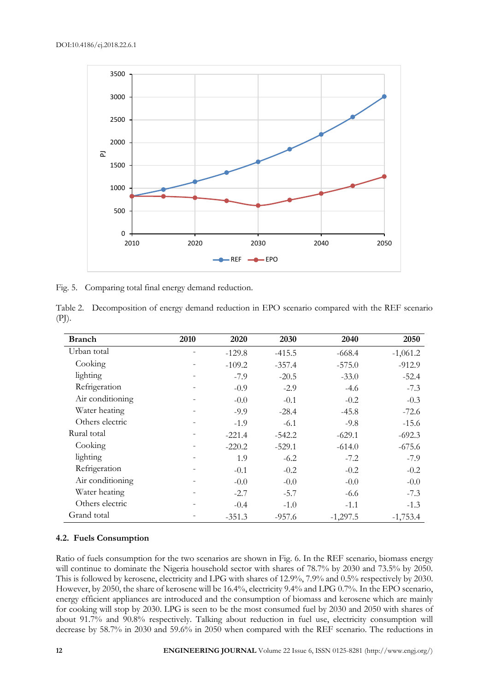

Fig. 5. Comparing total final energy demand reduction.

|       | Table 2. Decomposition of energy demand reduction in EPO scenario compared with the REF scenario |  |  |
|-------|--------------------------------------------------------------------------------------------------|--|--|
| (PJ). |                                                                                                  |  |  |

| <b>Branch</b>    | 2010 | 2020     | 2030     | 2040       | 2050       |
|------------------|------|----------|----------|------------|------------|
| Urban total      |      | $-129.8$ | $-415.5$ | $-668.4$   | $-1,061.2$ |
| Cooking          |      | $-109.2$ | $-357.4$ | $-575.0$   | $-912.9$   |
| lighting         |      | $-7.9$   | $-20.5$  | $-33.0$    | $-52.4$    |
| Refrigeration    | -    | $-0.9$   | $-2.9$   | $-4.6$     | $-7.3$     |
| Air conditioning |      | $-0.0$   | $-0.1$   | $-0.2$     | $-0.3$     |
| Water heating    |      | $-9.9$   | $-28.4$  | $-45.8$    | $-72.6$    |
| Others electric  |      | $-1.9$   | $-6.1$   | $-9.8$     | $-15.6$    |
| Rural total      |      | $-221.4$ | $-542.2$ | $-629.1$   | $-692.3$   |
| Cooking          |      | $-220.2$ | $-529.1$ | $-614.0$   | $-675.6$   |
| lighting         |      | 1.9      | $-6.2$   | $-7.2$     | $-7.9$     |
| Refrigeration    |      | $-0.1$   | $-0.2$   | $-0.2$     | $-0.2$     |
| Air conditioning |      | $-0.0$   | $-0.0$   | $-0.0$     | $-0.0$     |
| Water heating    |      | $-2.7$   | $-5.7$   | $-6.6$     | $-7.3$     |
| Others electric  |      | $-0.4$   | $-1.0$   | $-1.1$     | $-1.3$     |
| Grand total      |      | $-351.3$ | $-957.6$ | $-1,297.5$ | $-1,753.4$ |

#### **4.2. Fuels Consumption**

Ratio of fuels consumption for the two scenarios are shown in Fig. 6. In the REF scenario, biomass energy will continue to dominate the Nigeria household sector with shares of 78.7% by 2030 and 73.5% by 2050. This is followed by kerosene, electricity and LPG with shares of 12.9%, 7.9% and 0.5% respectively by 2030. However, by 2050, the share of kerosene will be 16.4%, electricity 9.4% and LPG 0.7%. In the EPO scenario, energy efficient appliances are introduced and the consumption of biomass and kerosene which are mainly for cooking will stop by 2030. LPG is seen to be the most consumed fuel by 2030 and 2050 with shares of about 91.7% and 90.8% respectively. Talking about reduction in fuel use, electricity consumption will decrease by 58.7% in 2030 and 59.6% in 2050 when compared with the REF scenario. The reductions in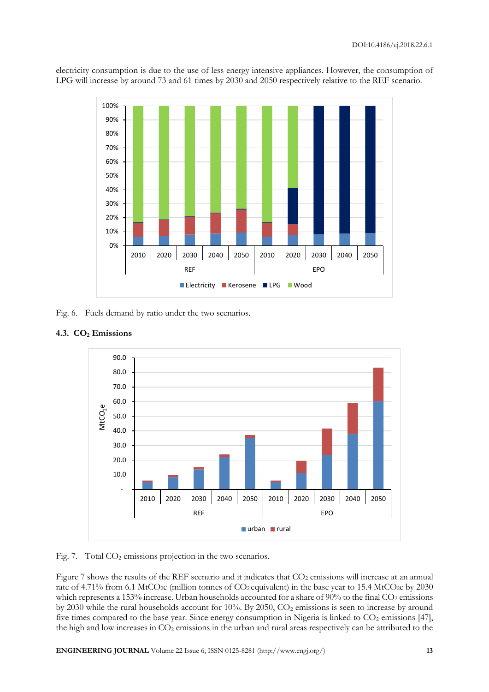

electricity consumption is due to the use of less energy intensive appliances. However, the consumption of LPG will increase by around 73 and 61 times by 2030 and 2050 respectively relative to the REF scenario.

Fig. 6. Fuels demand by ratio under the two scenarios.





Fig. 7. Total CO<sub>2</sub> emissions projection in the two scenarios.

Figure 7 shows the results of the REF scenario and it indicates that  $CO<sub>2</sub>$  emissions will increase at an annual rate of 4.71% from 6.1 MtCO<sub>2</sub>e (million tonnes of  $CO_2$  equivalent) in the base year to 15.4 MtCO<sub>2</sub>e by 2030 which represents a 153% increase. Urban households accounted for a share of 90% to the final CO<sub>2</sub> emissions by 2030 while the rural households account for 10%. By 2050, CO<sub>2</sub> emissions is seen to increase by around five times compared to the base year. Since energy consumption in Nigeria is linked to  $CO<sub>2</sub>$  emissions [47], the high and low increases in CO<sub>2</sub> emissions in the urban and rural areas respectively can be attributed to the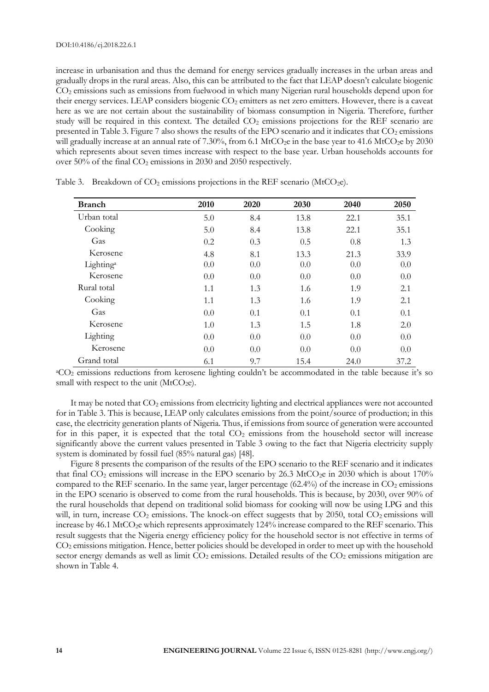increase in urbanisation and thus the demand for energy services gradually increases in the urban areas and gradually drops in the rural areas. Also, this can be attributed to the fact that LEAP doesn't calculate biogenic CO<sup>2</sup> emissions such as emissions from fuelwood in which many Nigerian rural households depend upon for their energy services. LEAP considers biogenic CO<sub>2</sub> emitters as net zero emitters. However, there is a caveat here as we are not certain about the sustainability of biomass consumption in Nigeria. Therefore, further study will be required in this context. The detailed CO<sub>2</sub> emissions projections for the REF scenario are presented in Table 3. Figure 7 also shows the results of the EPO scenario and it indicates that  $CO_2$  emissions will gradually increase at an annual rate of 7.30%, from 6.1 MtCO<sub>2</sub>e in the base year to 41.6 MtCO<sub>2</sub>e by 2030 which represents about seven times increase with respect to the base year. Urban households accounts for over  $50\%$  of the final  $CO<sub>2</sub>$  emissions in 2030 and 2050 respectively.

| <b>Branch</b>         | 2010 | 2020 | 2030 | 2040 | 2050 |
|-----------------------|------|------|------|------|------|
| Urban total           | 5.0  | 8.4  | 13.8 | 22.1 | 35.1 |
| Cooking               | 5.0  | 8.4  | 13.8 | 22.1 | 35.1 |
| Gas                   | 0.2  | 0.3  | 0.5  | 0.8  | 1.3  |
| Kerosene              | 4.8  | 8.1  | 13.3 | 21.3 | 33.9 |
| Lighting <sup>a</sup> | 0.0  | 0.0  | 0.0  | 0.0  | 0.0  |
| Kerosene              | 0.0  | 0.0  | 0.0  | 0.0  | 0.0  |
| Rural total           | 1.1  | 1.3  | 1.6  | 1.9  | 2.1  |
| Cooking               | 1.1  | 1.3  | 1.6  | 1.9  | 2.1  |
| Gas                   | 0.0  | 0.1  | 0.1  | 0.1  | 0.1  |
| Kerosene              | 1.0  | 1.3  | 1.5  | 1.8  | 2.0  |
| Lighting              | 0.0  | 0.0  | 0.0  | 0.0  | 0.0  |
| Kerosene              | 0.0  | 0.0  | 0.0  | 0.0  | 0.0  |
| Grand total           | 6.1  | 9.7  | 15.4 | 24.0 | 37.2 |

Table 3. Breakdown of  $CO<sub>2</sub>$  emissions projections in the REF scenario (MtCO<sub>2</sub>e).

<sup>a</sup>CO<sub>2</sub> emissions reductions from kerosene lighting couldn't be accommodated in the table because it's so small with respect to the unit  $(MtCO<sub>2</sub>e)$ .

It may be noted that  $CO<sub>2</sub>$  emissions from electricity lighting and electrical appliances were not accounted for in Table 3. This is because, LEAP only calculates emissions from the point/source of production; in this case, the electricity generation plants of Nigeria. Thus, if emissions from source of generation were accounted for in this paper, it is expected that the total  $CO<sub>2</sub>$  emissions from the household sector will increase significantly above the current values presented in Table 3 owing to the fact that Nigeria electricity supply system is dominated by fossil fuel (85% natural gas) [48].

Figure 8 presents the comparison of the results of the EPO scenario to the REF scenario and it indicates that final  $CO_2$  emissions will increase in the EPO scenario by 26.3 MtCO<sub>2</sub>e in 2030 which is about 170% compared to the REF scenario. In the same year, larger percentage  $(62.4%)$  of the increase in  $CO<sub>2</sub>$  emissions in the EPO scenario is observed to come from the rural households. This is because, by 2030, over 90% of the rural households that depend on traditional solid biomass for cooking will now be using LPG and this will, in turn, increase CO<sub>2</sub> emissions. The knock-on effect suggests that by 2050, total CO<sub>2</sub> emissions will increase by 46.1 MtCO<sub>2</sub>e which represents approximately 124% increase compared to the REF scenario. This result suggests that the Nigeria energy efficiency policy for the household sector is not effective in terms of CO<sup>2</sup> emissions mitigation. Hence, better policies should be developed in order to meet up with the household sector energy demands as well as limit  $CO<sub>2</sub>$  emissions. Detailed results of the  $CO<sub>2</sub>$  emissions mitigation are shown in Table 4.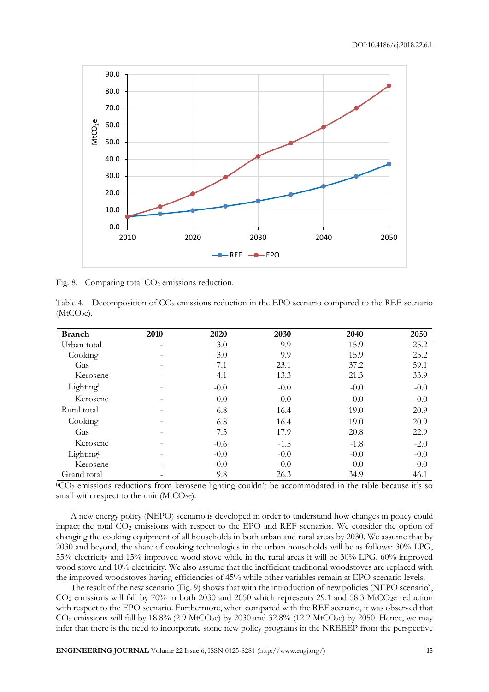

Fig. 8. Comparing total CO<sub>2</sub> emissions reduction.

Table 4. Decomposition of  $CO<sub>2</sub>$  emissions reduction in the EPO scenario compared to the REF scenario  $(MtCO<sub>2</sub>e).$ 

| <b>Branch</b> | 2010 | 2020   | 2030    | 2040    | 2050    |
|---------------|------|--------|---------|---------|---------|
| Urban total   | -    | 3.0    | 9.9     | 15.9    | 25.2    |
| Cooking       |      | 3.0    | 9.9     | 15.9    | 25.2    |
| Gas           |      | 7.1    | 23.1    | 37.2    | 59.1    |
| Kerosene      |      | $-4.1$ | $-13.3$ | $-21.3$ | $-33.9$ |
| Lightingb     |      | $-0.0$ | $-0.0$  | $-0.0$  | $-0.0$  |
| Kerosene      |      | $-0.0$ | $-0.0$  | $-0.0$  | $-0.0$  |
| Rural total   |      | 6.8    | 16.4    | 19.0    | 20.9    |
| Cooking       |      | 6.8    | 16.4    | 19.0    | 20.9    |
| Gas           |      | 7.5    | 17.9    | 20.8    | 22.9    |
| Kerosene      |      | $-0.6$ | $-1.5$  | $-1.8$  | $-2.0$  |
| Lightingb     |      | $-0.0$ | $-0.0$  | $-0.0$  | $-0.0$  |
| Kerosene      |      | $-0.0$ | $-0.0$  | $-0.0$  | $-0.0$  |
| Grand total   |      | 9.8    | 26.3    | 34.9    | 46.1    |

 $bCO<sub>2</sub>$  emissions reductions from kerosene lighting couldn't be accommodated in the table because it's so small with respect to the unit ( $\text{MtCO}_{2}e$ ).

A new energy policy (NEPO) scenario is developed in order to understand how changes in policy could impact the total CO<sub>2</sub> emissions with respect to the EPO and REF scenarios. We consider the option of changing the cooking equipment of all households in both urban and rural areas by 2030. We assume that by 2030 and beyond, the share of cooking technologies in the urban households will be as follows: 30% LPG, 55% electricity and 15% improved wood stove while in the rural areas it will be 30% LPG, 60% improved wood stove and 10% electricity. We also assume that the inefficient traditional woodstoves are replaced with the improved woodstoves having efficiencies of 45% while other variables remain at EPO scenario levels.

The result of the new scenario (Fig. 9) shows that with the introduction of new policies (NEPO scenario),  $CO<sub>2</sub>$  emissions will fall by 70% in both 2030 and 2050 which represents 29.1 and 58.3 MtCO<sub>2</sub>e reduction with respect to the EPO scenario. Furthermore, when compared with the REF scenario, it was observed that  $CO<sub>2</sub>$  emissions will fall by 18.8% (2.9 MtCO<sub>2</sub>e) by 2030 and 32.8% (12.2 MtCO<sub>2</sub>e) by 2050. Hence, we may infer that there is the need to incorporate some new policy programs in the NREEEP from the perspective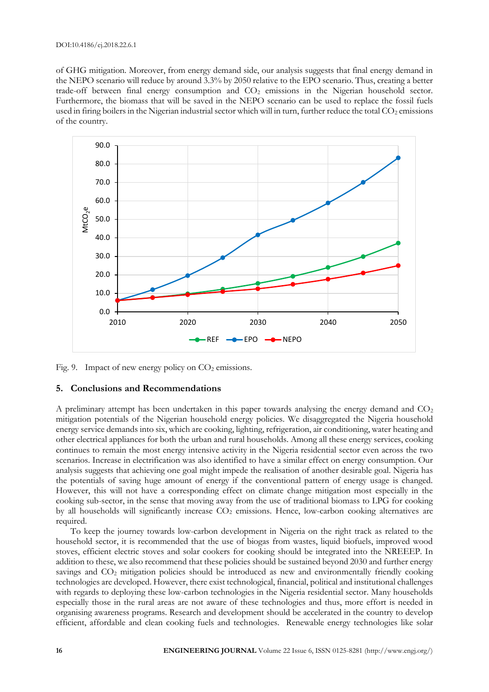of GHG mitigation. Moreover, from energy demand side, our analysis suggests that final energy demand in the NEPO scenario will reduce by around 3.3% by 2050 relative to the EPO scenario. Thus, creating a better trade-off between final energy consumption and CO<sub>2</sub> emissions in the Nigerian household sector. Furthermore, the biomass that will be saved in the NEPO scenario can be used to replace the fossil fuels used in firing boilers in the Nigerian industrial sector which will in turn, further reduce the total  $CO<sub>2</sub>$  emissions of the country.



Fig. 9. Impact of new energy policy on  $CO<sub>2</sub>$  emissions.

## **5. Conclusions and Recommendations**

A preliminary attempt has been undertaken in this paper towards analysing the energy demand and  $CO<sub>2</sub>$ mitigation potentials of the Nigerian household energy policies. We disaggregated the Nigeria household energy service demands into six, which are cooking, lighting, refrigeration, air conditioning, water heating and other electrical appliances for both the urban and rural households. Among all these energy services, cooking continues to remain the most energy intensive activity in the Nigeria residential sector even across the two scenarios. Increase in electrification was also identified to have a similar effect on energy consumption. Our analysis suggests that achieving one goal might impede the realisation of another desirable goal. Nigeria has the potentials of saving huge amount of energy if the conventional pattern of energy usage is changed. However, this will not have a corresponding effect on climate change mitigation most especially in the cooking sub-sector, in the sense that moving away from the use of traditional biomass to LPG for cooking by all households will significantly increase CO<sub>2</sub> emissions. Hence, low-carbon cooking alternatives are required.

To keep the journey towards low-carbon development in Nigeria on the right track as related to the household sector, it is recommended that the use of biogas from wastes, liquid biofuels, improved wood stoves, efficient electric stoves and solar cookers for cooking should be integrated into the NREEEP. In addition to these, we also recommend that these policies should be sustained beyond 2030 and further energy savings and CO<sub>2</sub> mitigation policies should be introduced as new and environmentally friendly cooking technologies are developed. However, there exist technological, financial, political and institutional challenges with regards to deploying these low-carbon technologies in the Nigeria residential sector. Many households especially those in the rural areas are not aware of these technologies and thus, more effort is needed in organising awareness programs. Research and development should be accelerated in the country to develop efficient, affordable and clean cooking fuels and technologies. Renewable energy technologies like solar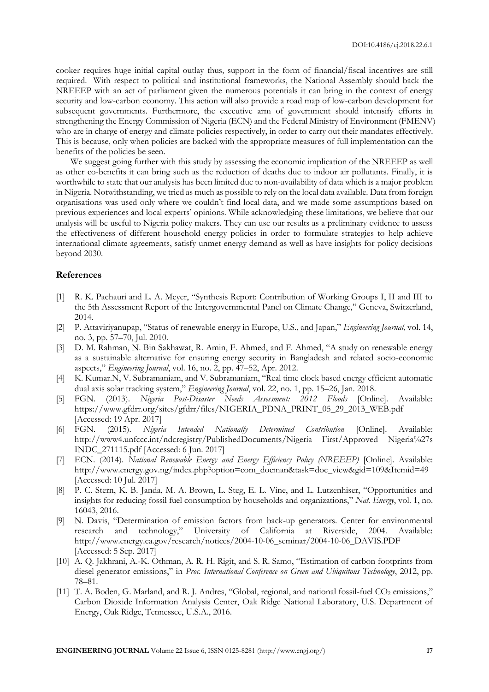cooker requires huge initial capital outlay thus, support in the form of financial/fiscal incentives are still required. With respect to political and institutional frameworks, the National Assembly should back the NREEEP with an act of parliament given the numerous potentials it can bring in the context of energy security and low-carbon economy. This action will also provide a road map of low-carbon development for subsequent governments. Furthermore, the executive arm of government should intensify efforts in strengthening the Energy Commission of Nigeria (ECN) and the Federal Ministry of Environment (FMENV) who are in charge of energy and climate policies respectively, in order to carry out their mandates effectively. This is because, only when policies are backed with the appropriate measures of full implementation can the benefits of the policies be seen.

We suggest going further with this study by assessing the economic implication of the NREEEP as well as other co-benefits it can bring such as the reduction of deaths due to indoor air pollutants. Finally, it is worthwhile to state that our analysis has been limited due to non-availability of data which is a major problem in Nigeria. Notwithstanding, we tried as much as possible to rely on the local data available. Data from foreign organisations was used only where we couldn't find local data, and we made some assumptions based on previous experiences and local experts' opinions. While acknowledging these limitations, we believe that our analysis will be useful to Nigeria policy makers. They can use our results as a preliminary evidence to assess the effectiveness of different household energy policies in order to formulate strategies to help achieve international climate agreements, satisfy unmet energy demand as well as have insights for policy decisions beyond 2030.

## **References**

- [1] R. K. Pachauri and L. A. Meyer, "Synthesis Report: Contribution of Working Groups I, II and III to the 5th Assessment Report of the Intergovernmental Panel on Climate Change," Geneva, Switzerland, 2014.
- [2] P. Attaviriyanupap, "Status of renewable energy in Europe, U.S., and Japan," *Engineering Journal*, vol. 14, no. 3, pp. 57–70, Jul. 2010.
- [3] D. M. Rahman, N. Bin Sakhawat, R. Amin, F. Ahmed, and F. Ahmed, "A study on renewable energy as a sustainable alternative for ensuring energy security in Bangladesh and related socio-economic aspects," *Engineering Journal*, vol. 16, no. 2, pp. 47–52, Apr. 2012.
- [4] K. Kumar.N, V. Subramaniam, and V. Subramaniam, "Real time clock based energy efficient automatic dual axis solar tracking system," *Engineering Journal*, vol. 22, no. 1, pp. 15–26, Jan. 2018.
- [5] FGN. (2013). *Nigeria Post-Disaster Needs Assessment: 2012 Floods* [Online]. Available: https://www.gfdrr.org/sites/gfdrr/files/NIGERIA\_PDNA\_PRINT\_05\_29\_2013\_WEB.pdf [Accessed: 19 Apr. 2017]
- [6] FGN. (2015). *Nigeria Intended Nationally Determined Contribution* [Online]. Available: http://www4.unfccc.int/ndcregistry/PublishedDocuments/Nigeria First/Approved Nigeria%27s INDC\_271115.pdf [Accessed: 6 Jun. 2017]
- [7] ECN. (2014). *National Renewable Energy and Energy Efficiency Policy (NREEEP)* [Online]. Available: http://www.energy.gov.ng/index.php?option=com\_docman&task=doc\_view&gid=109&Itemid=49 [Accessed: 10 Jul. 2017]
- [8] P. C. Stern, K. B. Janda, M. A. Brown, L. Steg, E. L. Vine, and L. Lutzenhiser, "Opportunities and insights for reducing fossil fuel consumption by households and organizations," *Nat. Energy*, vol. 1, no. 16043, 2016.
- [9] N. Davis, "Determination of emission factors from back-up generators. Center for environmental research and technology," University of California at Riverside, 2004. Available: http://www.energy.ca.gov/research/notices/2004-10-06\_seminar/2004-10-06\_DAVIS.PDF [Accessed: 5 Sep. 2017]
- [10] A. Q. Jakhrani, A.-K. Othman, A. R. H. Rigit, and S. R. Samo, "Estimation of carbon footprints from diesel generator emissions," in *Proc. International Conference on Green and Ubiquitous Technology*, 2012, pp. 78–81.
- [11] T. A. Boden, G. Marland, and R. J. Andres, "Global, regional, and national fossil-fuel CO<sub>2</sub> emissions," Carbon Dioxide Information Analysis Center, Oak Ridge National Laboratory, U.S. Department of Energy, Oak Ridge, Tennessee, U.S.A., 2016.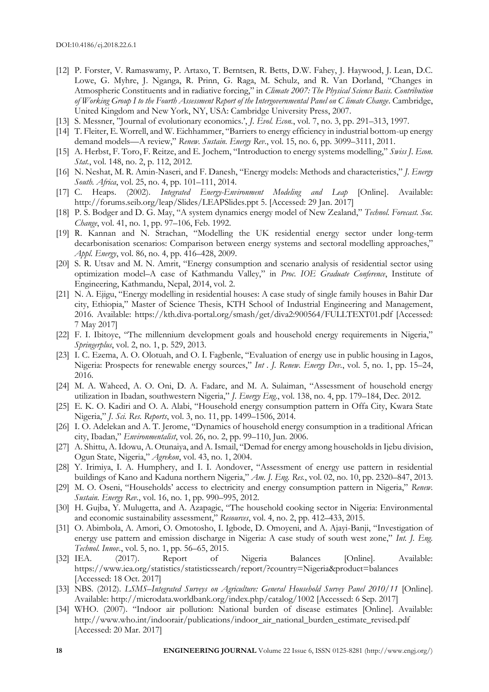- [12] P. Forster, V. Ramaswamy, P. Artaxo, T. Berntsen, R. Betts, D.W. Fahey, J. Haywood, J. Lean, D.C. Lowe, G. Myhre, J. Nganga, R. Prinn, G. Raga, M. Schulz, and R. Van Dorland, "Changes in Atmospheric Constituents and in radiative forcing," in *Climate 2007: The Physical Science Basis. Contribution of Working Group I to the Fourth Assessment Report of the Intergovernmental Panel on C limate Change*. Cambridge, United Kingdom and New York, NY, USA: Cambridge University Press, 2007.
- [13] S. Messner, "Journal of evolutionary economics.', *J. Evol. Econ.*, vol. 7, no. 3, pp. 291–313, 1997.
- [14] T. Fleiter, E. Worrell, and W. Eichhammer, "Barriers to energy efficiency in industrial bottom-up energy demand models—A review," *Renew. Sustain. Energy Rev.*, vol. 15, no. 6, pp. 3099–3111, 2011.
- [15] A. Herbst, F. Toro, F. Reitze, and E. Jochem, "Introduction to energy systems modelling," *Swiss J. Econ. Stat.*, vol. 148, no. 2, p. 112, 2012.
- [16] N. Neshat, M. R. Amin-Naseri, and F. Danesh, "Energy models: Methods and characteristics," *J. Energy South. Africa*, vol. 25, no. 4, pp. 101–111, 2014.
- [17] C. Heaps. (2002). *Integrated Energy-Environment Modeling and Leap* [Online]. Available: http://forums.seib.org/leap/Slides/LEAPSlides.ppt 5. [Accessed: 29 Jan. 2017]
- [18] P. S. Bodger and D. G. May, "A system dynamics energy model of New Zealand," *Technol. Forecast. Soc. Change*, vol. 41, no. 1, pp. 97–106, Feb. 1992.
- [19] R. Kannan and N. Strachan, "Modelling the UK residential energy sector under long-term decarbonisation scenarios: Comparison between energy systems and sectoral modelling approaches," *Appl. Energy*, vol. 86, no. 4, pp. 416–428, 2009.
- [20] S. R. Utsav and M. N. Amrit, "Energy consumption and scenario analysis of residential sector using optimization model–A case of Kathmandu Valley," in *Proc. IOE Graduate Conference*, Institute of Engineering, Kathmandu, Nepal, 2014, vol. 2.
- [21] N. A. Ejigu, "Energy modelling in residential houses: A case study of single family houses in Bahir Dar city, Ethiopia," Master of Science Thesis, KTH School of Industrial Engineering and Management, 2016. Available: https://kth.diva-portal.org/smash/get/diva2:900564/FULLTEXT01.pdf [Accessed: 7 May 2017]
- [22] F. I. Ibitoye, "The millennium development goals and household energy requirements in Nigeria," *Springerplus*, vol. 2, no. 1, p. 529, 2013.
- [23] I. C. Ezema, A. O. Olotuah, and O. I. Fagbenle, "Evaluation of energy use in public housing in Lagos, Nigeria: Prospects for renewable energy sources," *Int . J. Renew. Energy Dev.*, vol. 5, no. 1, pp. 15–24, 2016.
- [24] M. A. Waheed, A. O. Oni, D. A. Fadare, and M. A. Sulaiman, "Assessment of household energy utilization in Ibadan, southwestern Nigeria," *J. Energy Eng.*, vol. 138, no. 4, pp. 179–184, Dec. 2012.
- [25] E. K. O. Kadiri and O. A. Alabi, "Household energy consumption pattern in Offa City, Kwara State Nigeria," *J. Sci. Res. Reports*, vol. 3, no. 11, pp. 1499–1506, 2014.
- [26] I. O. Adelekan and A. T. Jerome, "Dynamics of household energy consumption in a traditional African city, Ibadan," *Environmentalist*, vol. 26, no. 2, pp. 99–110, Jun. 2006.
- [27] A. Shittu, A. Idowu, A. Otunaiya, and A. Ismail, "Demad for energy among households in Ijebu division, Ogun State, Nigeria," *Agrekon*, vol. 43, no. 1, 2004.
- [28] Y. Irimiya, I. A. Humphery, and I. I. Aondover, "Assessment of energy use pattern in residential buildings of Kano and Kaduna northern Nigeria," *Am. J. Eng. Res.*, vol. 02, no. 10, pp. 2320–847, 2013.
- [29] M. O. Oseni, "Households' access to electricity and energy consumption pattern in Nigeria," *Renew. Sustain. Energy Rev.*, vol. 16, no. 1, pp. 990–995, 2012.
- [30] H. Gujba, Y. Mulugetta, and A. Azapagic, "The household cooking sector in Nigeria: Environmental and economic sustainability assessment," *Resources*, vol. 4, no. 2, pp. 412–433, 2015.
- [31] O. Abimbola, A. Amori, O. Omotosho, I. Igbode, D. Omoyeni, and A. Ajayi-Banji, "Investigation of energy use pattern and emission discharge in Nigeria: A case study of south west zone," *Int. J. Eng. Technol. Innov.*, vol. 5, no. 1, pp. 56–65, 2015.
- [32] IEA. (2017). Report of Nigeria Balances [Online]. Available: https://www.iea.org/statistics/statisticssearch/report/?country=Nigeria&product=balances [Accessed: 18 Oct. 2017]
- [33] NBS. (2012). *LSMS–Integrated Surveys on Agriculture: General Household Survey Panel 2010/11* [Online]. Available: http://microdata.worldbank.org/index.php/catalog/1002 [Accessed: 6 Sep. 2017]
- [34] WHO. (2007). "Indoor air pollution: National burden of disease estimates [Online]. Available: http://www.who.int/indoorair/publications/indoor\_air\_national\_burden\_estimate\_revised.pdf [Accessed: 20 Mar. 2017]